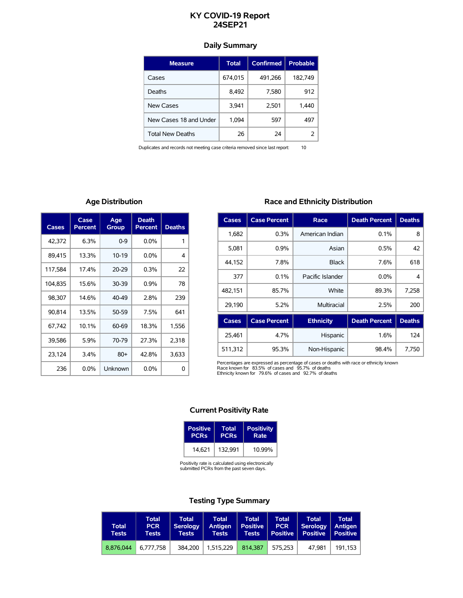# **KY COVID-19 Report 24SEP21**

# **Daily Summary**

| <b>Measure</b>          | Total   | <b>Confirmed</b> | <b>Probable</b> |
|-------------------------|---------|------------------|-----------------|
| Cases                   | 674,015 | 491,266          | 182,749         |
| Deaths                  | 8,492   | 7,580            | 912             |
| <b>New Cases</b>        | 3,941   | 2,501            | 1,440           |
| New Cases 18 and Under  | 1,094   | 597              | 497             |
| <b>Total New Deaths</b> | 26      | 24               |                 |

Duplicates and records not meeting case criteria removed since last report: 10

# **Age Distribution**

| Cases   | Case<br>Percent | Age<br>Group | Death<br>Percent | <b>Deaths</b> |
|---------|-----------------|--------------|------------------|---------------|
| 42,372  | 6.3%            | $0 - 9$      | $0.0\%$          | 1             |
| 89,415  | 13.3%           | $10-19$      | $0.0\%$          | 4             |
| 117,584 | 17.4%           | $20 - 29$    | 0.3%             | 22            |
| 104,835 | 15.6%           | 30-39        | 0.9%             | 78            |
| 98,307  | 14.6%           | 40-49        | 2.8%             | 239           |
| 90,814  | 13.5%           | 50-59        | 7.5%             | 641           |
| 67,742  | 10.1%           | 60-69        | 18.3%            | 1.556         |
| 39,586  | 5.9%            | 70-79        | 27.3%            | 2,318         |
| 23,124  | 3.4%            | $80 +$       | 42.8%            | 3,633         |
| 236     | $0.0\%$         | Unknown      | 0.0%             | 0             |

# **Race and Ethnicity Distribution**

| Cases        | <b>Case Percent</b> | Race             | <b>Death Percent</b> | <b>Deaths</b> |
|--------------|---------------------|------------------|----------------------|---------------|
| 1,682        | 0.3%                | American Indian  | 0.1%                 | 8             |
| 5,081        | 0.9%                | Asian            | 0.5%                 | 42            |
| 44.152       | 7.8%                | <b>Black</b>     | 7.6%                 | 618           |
| 377          | 0.1%                | Pacific Islander | $0.0\%$              | 4             |
| 482.151      | 85.7%               | White            | 89.3%                | 7.258         |
| 29,190       | 5.2%                | Multiracial      | 2.5%                 | 200           |
| <b>Cases</b> | <b>Case Percent</b> | <b>Ethnicity</b> | <b>Death Percent</b> | <b>Deaths</b> |

| Cases.  | Case Percent | <b>EUTHCILY</b> | Death Percent   Deaths |       |
|---------|--------------|-----------------|------------------------|-------|
| 25.461  | 4.7%         | Hispanic        | 1.6%                   | 124   |
| 511.312 | 95.3%        | Non-Hispanic    | 98.4%                  | 7.750 |

Percentages are expressed as percentage of cases or deaths with race or ethnicity known<br>Race known for 83.5% of cases and 95.7% of deaths<br>Ethnicity known for 79.6% of cases and 92.7% of deaths

## **Current Positivity Rate**

| Positive               | <b>Total</b> | <b>Positivity</b> |
|------------------------|--------------|-------------------|
| <b>PCR<sub>s</sub></b> | <b>PCRs</b>  | Rate              |
| 14.621                 | 132.991      | 10.99%            |

Positivity rate is calculated using electronically submitted PCRs from the past seven days.

# **Testing Type Summary**

| <b>Total</b><br>Tests | <b>Total</b><br><b>PCR</b><br>Tests | <b>Total</b><br><b>Serology</b><br>Tests | <b>Total</b><br>Antigen<br><b>Tests</b> | <b>Total</b><br><b>Positive</b><br><b>Tests</b> | <b>Total</b><br><b>PCR</b><br><b>Positive</b> | Total<br>Serology<br><b>Positive</b> | <b>Total</b><br>Antigen<br><b>Positive</b> |
|-----------------------|-------------------------------------|------------------------------------------|-----------------------------------------|-------------------------------------------------|-----------------------------------------------|--------------------------------------|--------------------------------------------|
| 8.876.044             | 6.777.758                           | 384.200                                  | 1.515.229                               | 814.387                                         | 575.253                                       | 47.981                               | 191.153                                    |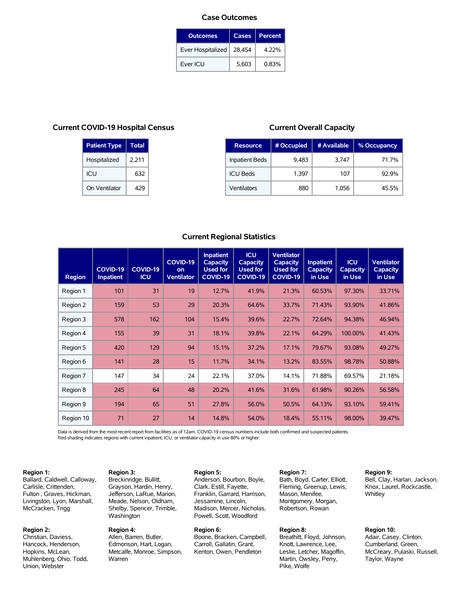#### **Case Outcomes**

| <b>Outcomes</b>   | Cases  | <b>Percent</b> |
|-------------------|--------|----------------|
| Ever Hospitalized | 28,454 | 4.22%          |
| Ever ICU          | 5.603  | 0.83%          |

## **Current COVID-19 Hospital Census**

| <b>Patient Type</b> | <b>Total</b> |
|---------------------|--------------|
| Hospitalized        | 2,211        |
| ICU                 | 632          |
| On Ventilator       | 429          |

**Region 3:** Breckinridge, Bullitt, Grayson, Hardin, Henry, Jefferson, LaRue, Marion, Meade, Nelson, Oldham, Shelby, Spencer, Trimble,

Washington **Region 4:**

Warren

Allen, Barren, Butler, Edmonson, Hart, Logan, Metcalfe, Monroe, Simpson,

## **Current Overall Capacity**

| <b>Resource</b>       | # Occupied | # Available | % Occupancy |
|-----------------------|------------|-------------|-------------|
| <b>Inpatient Beds</b> | 9,483      | 3,747       | 71.7%       |
| <b>ICU Beds</b>       | 1.397      | 107         | $929\%$     |
| Ventilators           | 880        | 1,056       | 45.5%       |

## **Current Regional Statistics**

| <b>Region</b> | <b>COVID-19</b><br><b>Inpatient</b> | COVID-19<br><b>ICU</b> | COVID-19<br>on<br><b>Ventilator</b> | <b>Inpatient</b><br><b>Capacity</b><br><b>Used for</b><br>COVID-19 | <b>ICU</b><br><b>Capacity</b><br><b>Used for</b><br>COVID-19 | <b>Ventilator</b><br><b>Capacity</b><br><b>Used for</b><br><b>COVID-19</b> | <b>Inpatient</b><br><b>Capacity</b><br>in Use | <b>ICU</b><br><b>Capacity</b><br>in Use | <b>Ventilator</b><br><b>Capacity</b><br>in Use |
|---------------|-------------------------------------|------------------------|-------------------------------------|--------------------------------------------------------------------|--------------------------------------------------------------|----------------------------------------------------------------------------|-----------------------------------------------|-----------------------------------------|------------------------------------------------|
| Region 1      | 101                                 | 31                     | 19                                  | 12.7%                                                              | 41.9%                                                        | 21.3%                                                                      | 60.53%                                        | 97.30%                                  | 33.71%                                         |
| Region 2      | 159                                 | 53                     | 29                                  | 20.3%                                                              | 64.6%                                                        | 33.7%                                                                      | 71.43%                                        | 93.90%                                  | 41.86%                                         |
| Region 3      | 578                                 | 162                    | 104                                 | 15.4%                                                              | 39.6%                                                        | 22.7%                                                                      | 72.64%                                        | 94.38%                                  | 46.94%                                         |
| Region 4      | 155                                 | 39                     | 31                                  | 18.1%                                                              | 39.8%                                                        | 22.1%                                                                      | 64.29%                                        | 100.00%                                 | 41.43%                                         |
| Region 5      | 420                                 | 129                    | 94                                  | 15.1%                                                              | 37.2%                                                        | 17.1%                                                                      | 79.67%                                        | 93.08%                                  | 49.27%                                         |
| Region 6      | 141                                 | 28                     | 15                                  | 11.7%                                                              | 34.1%                                                        | 13.2%                                                                      | 83.55%                                        | 98.78%                                  | 50.88%                                         |
| Region 7      | 147                                 | 34                     | 24                                  | 22.1%                                                              | 37.0%                                                        | 14.1%                                                                      | 71.88%                                        | 69.57%                                  | 21.18%                                         |
| Region 8      | 245                                 | 64                     | 48                                  | 20.2%                                                              | 41.6%                                                        | 31.6%                                                                      | 61.98%                                        | 90.26%                                  | 56.58%                                         |
| Region 9      | 194                                 | 65                     | 51                                  | 27.8%                                                              | 56.0%                                                        | 50.5%                                                                      | 64.13%                                        | 93.10%                                  | 59.41%                                         |
| Region 10     | 71                                  | 27                     | 14                                  | 14.8%                                                              | 54.0%                                                        | 18.4%                                                                      | 55.11%                                        | 98.00%                                  | 39.47%                                         |

Data is derived from the most recent report from facilities as of 12am. COVID-19 census numbers include both confirmed and suspected patients. Red shading indicates regions with current inpatient, ICU, or ventilator capacity in use 80% or higher.

#### **Region 1:**

Ballard, Caldwell, Calloway, Carlisle, Crittenden, Fulton , Graves, Hickman, Livingston, Lyon, Marshall, McCracken, Trigg

#### **Region 2:**

Christian, Daviess, Hancock, Henderson, Hopkins, McLean, Muhlenberg, Ohio, Todd, Union, Webster

## **Region 5:**

Anderson, Bourbon, Boyle, Clark, Estill, Fayette, Franklin, Garrard, Harrison, Jessamine, Lincoln, Madison, Mercer, Nicholas, Powell, Scott, Woodford

#### **Region 6:**

Boone, Bracken, Campbell, Carroll, Gallatin, Grant, Kenton, Owen, Pendleton

**Region 7:** Bath, Boyd, Carter, Elliott, Fleming, Greenup, Lewis, Mason, Menifee, Montgomery, Morgan, Robertson, Rowan

#### **Region 8:**

Breathitt, Floyd, Johnson, Knott, Lawrence, Lee, Leslie, Letcher, Magoffin, Martin, Owsley, Perry, Pike, Wolfe

### **Region 9:**

Bell, Clay, Harlan, Jackson, Knox, Laurel, Rockcastle, **Whitley** 

## **Region 10:**

Adair, Casey, Clinton, Cumberland, Green, McCreary, Pulaski, Russell, Taylor, Wayne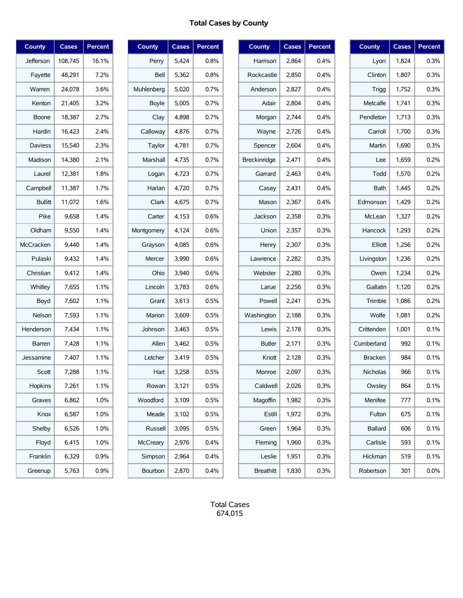# **Total Cases by County**

| <b>County</b>  | <b>Cases</b> | <b>Percent</b> |
|----------------|--------------|----------------|
| Jefferson      | 108,745      | 16.1%          |
| Fayette        | 48,291       | 7.2%           |
| Warren         | 24,078       | 3.6%           |
| Kenton         | 21,405       | 3.2%           |
| Boone          | 18,387       | 2.7%           |
| Hardin         | 16,423       | 2.4%           |
| <b>Daviess</b> | 15.540       | 2.3%           |
| Madison        | 14,380       | 2.1%           |
| Laurel         | 12,381       | 1.8%           |
| Campbell       | 11,387       | 1.7%           |
| <b>Bullitt</b> | 11,072       | 1.6%           |
| Pike           | 9,658        | 1.4%           |
| Oldham         | 9,550        | 1.4%           |
| McCracken      | 9,440        | 1.4%           |
| Pulaski        | 9,432        | 1.4%           |
| Christian      | 9,412        | 1.4%           |
| Whitley        | 7,655        | 1.1%           |
| Boyd           | 7,602        | 1.1%           |
| Nelson         | 7,593        | 1.1%           |
| Henderson      | 7,434        | 1.1%           |
| <b>Barren</b>  | 7,428        | 1.1%           |
| Jessamine      | 7,407        | 1.1%           |
| Scott          | 7,288        | 1.1%           |
| Hopkins        | 7,261        | 1.1%           |
| Graves         | 6,862        | 1.0%           |
| Knox           | 6,587        | 1.0%           |
| Shelby         | 6,526        | 1.0%           |
| Floyd          | 6,415        | 1.0%           |
| Franklin       | 6,329        | 0.9%           |
| Greenup        | 5,763        | 0.9%           |

| <b>County</b> | <b>Cases</b> | <b>Percent</b> |
|---------------|--------------|----------------|
| Perry         | 5,424        | $0.8\%$        |
| Bell          | 5,362        | $0.8\%$        |
| Muhlenberg    | 5,020        | 0.7%           |
| Boyle         | 5,005        | $0.7\%$        |
| Clay          | 4,898        | 0.7%           |
| Calloway      | 4,876        | $0.7\%$        |
| Taylor        | 4,781        | 0.7%           |
| Marshall      | 4,735        | $0.7\%$        |
| Logan         | 4,723        | 0.7%           |
| Harlan        | 4,720        | $0.7\%$        |
| Clark         | 4,675        | 0.7%           |
| Carter        | 4,153        | 0.6%           |
| Montgomery    | 4,124        | 0.6%           |
| Grayson       | 4,085        | 0.6%           |
| Mercer        | 3,990        | 0.6%           |
| Ohio          | 3,940        | 0.6%           |
| Lincoln       | 3,783        | 0.6%           |
| Grant         | 3,613        | 0.5%           |
| Marion        | 3,609        | 0.5%           |
| Johnson       | 3,463        | 0.5%           |
| Allen         | 3,462        | 0.5%           |
| Letcher       | 3,419        | 0.5%           |
| Hart          | 3,258        | 0.5%           |
| Rowan         | 3,121        | 0.5%           |
| Woodford      | 3,109        | 0.5%           |
| Meade         | 3,102        | 0.5%           |
| Russell       | 3,095        | 0.5%           |
| McCreary      | 2,976        | 0.4%           |
| Simpson       | 2,964        | 0.4%           |
| Bourbon       | 2,870        | 0.4%           |

| <b>County</b>       | <b>Cases</b> | <b>Percent</b> |
|---------------------|--------------|----------------|
| Harrison            | 2,864        | $0.4\%$        |
| Rockcastle          | 2,850        | $0.4\%$        |
| Anderson            | 2.827        | 0.4%           |
| Adair               | 2,804        | 0.4%           |
| Morgan              | 2,744        | 0.4%           |
| Wayne               | 2,726        | 0.4%           |
| Spencer             | 2,604        | 0.4%           |
| <b>Breckinridge</b> | 2,471        | 0.4%           |
| Garrard             | 2,463        | $0.4\%$        |
| Casey               | 2,431        | 0.4%           |
| Mason               | 2,367        | $0.4\%$        |
| Jackson             | 2.358        | 0.3%           |
| Union               | 2,357        | 0.3%           |
| Henry               | 2,307        | 0.3%           |
| Lawrence            | 2,282        | 0.3%           |
| Webster             | 2,280        | 0.3%           |
| Larue               | 2,256        | 0.3%           |
| Powell              | 2,241        | 0.3%           |
| Washington          | 2,188        | 0.3%           |
| Lewis               | 2,178        | 0.3%           |
| Butler              | 2,171        | 0.3%           |
| Knott               | 2,128        | 0.3%           |
| Monroe              | 2,097        | 0.3%           |
| Caldwell            | 2,026        | 0.3%           |
| Magoffin            | 1,982        | 0.3%           |
| Estill              | 1,972        | 0.3%           |
| Green               | 1,964        | 0.3%           |
| Fleming             | 1,960        | 0.3%           |
| Leslie              | 1,951        | 0.3%           |
| <b>Breathitt</b>    | 1,830        | 0.3%           |

| <b>County</b>   | <b>Cases</b> | Percent |
|-----------------|--------------|---------|
| Lyon            | 1,824        | 0.3%    |
| Clinton         | 1,807        | 0.3%    |
| Trigg           | 1,752        | 0.3%    |
| Metcalfe        | 1,741        | 0.3%    |
| Pendleton       | 1,713        | 0.3%    |
| Carroll         | 1,700        | 0.3%    |
| Martin          | 1,690        | 0.3%    |
| Lee             | 1,659        | 0.2%    |
| Todd            | 1,570        | 0.2%    |
| Bath            | 1,445        | 0.2%    |
| Edmonson        | 1,429        | 0.2%    |
| McLean          | 1,327        | 0.2%    |
| Hancock         | 1,293        | 0.2%    |
| Elliott         | 1,256        | 0.2%    |
| Livingston      | 1,236        | 0.2%    |
| Owen            | 1,234        | 0.2%    |
| Gallatin        | 1,120        | 0.2%    |
| Trimble         | 1,086        | 0.2%    |
| Wolfe           | 1,081        | 0.2%    |
| Crittenden      | 1,001        | 0.1%    |
| Cumberland      | 992          | 0.1%    |
| <b>Bracken</b>  | 984          | 0.1%    |
| <b>Nicholas</b> | 966          | 0.1%    |
| Owsley          | 864          | 0.1%    |
| Menifee         | 777          | $0.1\%$ |
| Fulton          | 675          | 0.1%    |
| <b>Ballard</b>  | 606          | $0.1\%$ |
| Carlisle        | 593          | $0.1\%$ |
| Hickman         | 519          | 0.1%    |
| Robertson       | 301          | $0.0\%$ |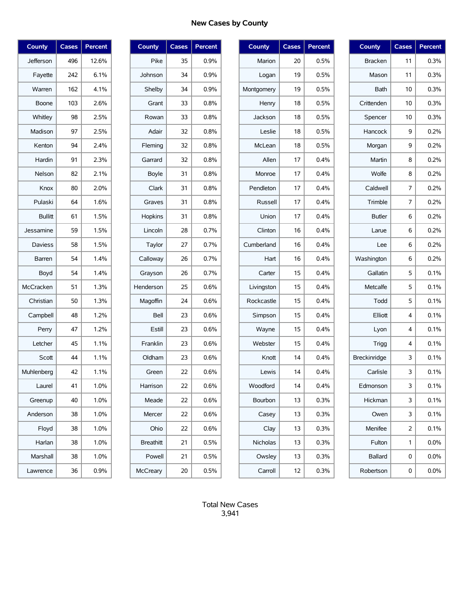# **New Cases by County**

| County         | <b>Cases</b> | Percent |
|----------------|--------------|---------|
| Jefferson      | 496          | 12.6%   |
| Fayette        | 242          | 6.1%    |
| Warren         | 162          | 4.1%    |
| Boone          | 103          | 2.6%    |
| Whitley        | 98           | 2.5%    |
| Madison        | 97           | 2.5%    |
| Kenton         | 94           | 2.4%    |
| Hardin         | 91           | 2.3%    |
| Nelson         | 82           | 2.1%    |
| Knox           | 80           | 2.0%    |
| Pulaski        | 64           | 1.6%    |
| <b>Bullitt</b> | 61           | 1.5%    |
| Jessamine      | 59           | 1.5%    |
| <b>Daviess</b> | 58           | 1.5%    |
| Barren         | 54           | 1.4%    |
| Boyd           | 54           | 1.4%    |
| McCracken      | 51           | 1.3%    |
| Christian      | 50           | 1.3%    |
| Campbell       | 48           | 1.2%    |
| Perry          | 47           | 1.2%    |
| Letcher        | 45           | 1.1%    |
| Scott          | 44           | 1.1%    |
| Muhlenberg     | 42           | 1.1%    |
| Laurel         | 41           | 1.0%    |
| Greenup        | 40           | 1.0%    |
| Anderson       | 38           | 1.0%    |
| Floyd          | 38           | 1.0%    |
| Harlan         | 38           | 1.0%    |
| Marshall       | 38           | 1.0%    |
| Lawrence       | 36           | 0.9%    |

| <b>County</b>   | <b>Cases</b> | <b>Percent</b> |
|-----------------|--------------|----------------|
| Pike            | 35           | $0.9\%$        |
| Johnson         | 34           | $0.9\%$        |
| Shelby          | 34           | 0.9%           |
| Grant           | 33           | 0.8%           |
| Rowan           | 33           | 0.8%           |
| Adair           | 32           | 0.8%           |
| Fleming         | 32           | 0.8%           |
| Garrard         | 32           | 0.8%           |
| <b>Boyle</b>    | 31           | 0.8%           |
| Clark           | 31           | 0.8%           |
| Graves          | 31           | 0.8%           |
| Hopkins         | 31           | 0.8%           |
| Lincoln         | 28           | 0.7%           |
| Taylor          | 27           | 0.7%           |
| Calloway        | 26           | 0.7%           |
| Grayson         | 26           | 0.7%           |
| Henderson       | 25           | 0.6%           |
| Magoffin        | 24           | 0.6%           |
| Bell            | 23           | 0.6%           |
| Estill          | 23           | 0.6%           |
| Franklin        | 23           | 0.6%           |
| Oldham          | 23           | 0.6%           |
| Green           | 22           | 0.6%           |
| Harrison        | 22           | 0.6%           |
| Meade           | 22           | 0.6%           |
| Mercer          | 22           | 0.6%           |
| Ohio            | 22           | 0.6%           |
| Breathitt       | 21           | 0.5%           |
| Powell          | 21           | 0.5%           |
| <b>McCreary</b> | 20           | 0.5%           |

| County     | <b>Cases</b> | Percent |
|------------|--------------|---------|
| Marion     | 20           | 0.5%    |
| Logan      | 19           | 0.5%    |
| Montgomery | 19           | 0.5%    |
| Henry      | 18           | 0.5%    |
| Jackson    | 18           | 0.5%    |
| Leslie     | 18           | 0.5%    |
| McLean     | 18           | 0.5%    |
| Allen      | 17           | 0.4%    |
| Monroe     | 17           | 0.4%    |
| Pendleton  | 17           | 0.4%    |
| Russell    | 17           | 0.4%    |
| Union      | 17           | 0.4%    |
| Clinton    | 16           | 0.4%    |
| Cumberland | 16           | 0.4%    |
| Hart       | 16           | 0.4%    |
| Carter     | 15           | 0.4%    |
| Livingston | 15           | 0.4%    |
| Rockcastle | 15           | 0.4%    |
| Simpson    | 15           | 0.4%    |
| Wayne      | 15           | 0.4%    |
| Webster    | 15           | 0.4%    |
| Knott      | 14           | 0.4%    |
| Lewis      | 14           | 0.4%    |
| Woodford   | 14           | 0.4%    |
| Bourbon    | 13           | 0.3%    |
| Casey      | 13           | 0.3%    |
| Clay       | 13           | 0.3%    |
| Nicholas   | 13           | 0.3%    |
| Owsley     | 13           | 0.3%    |
| Carroll    | 12           | 0.3%    |

| <b>County</b>       | <b>Cases</b> | Percent |
|---------------------|--------------|---------|
| <b>Bracken</b>      | 11           | 0.3%    |
| Mason               | 11           | 0.3%    |
| <b>Bath</b>         | 10           | 0.3%    |
| Crittenden          | 10           | 0.3%    |
| Spencer             | 10           | 0.3%    |
| Hancock             | 9            | 0.2%    |
| Morgan              | 9            | 0.2%    |
| Martin              | 8            | 0.2%    |
| Wolfe               | 8            | 0.2%    |
| Caldwell            | 7            | 0.2%    |
| Trimble             | 7            | 0.2%    |
| <b>Butler</b>       | 6            | 0.2%    |
| Larue               | 6            | 0.2%    |
| Lee                 | 6            | 0.2%    |
| Washington          | 6            | 0.2%    |
| Gallatin            | 5            | 0.1%    |
| Metcalfe            | 5            | 0.1%    |
| Todd                | 5            | 0.1%    |
| Elliott             | 4            | 0.1%    |
| Lyon                | 4            | 0.1%    |
| Trigg               | 4            | 0.1%    |
| <b>Breckinridge</b> | 3            | 0.1%    |
| Carlisle            | 3            | 0.1%    |
| Edmonson            | 3            | 0.1%    |
| Hickman             | 3            | 0.1%    |
| Owen                | 3            | 0.1%    |
| Menifee             | 2            | 0.1%    |
| Fulton              | 1            | $0.0\%$ |
| <b>Ballard</b>      | 0            | $0.0\%$ |
| Robertson           | 0            | $0.0\%$ |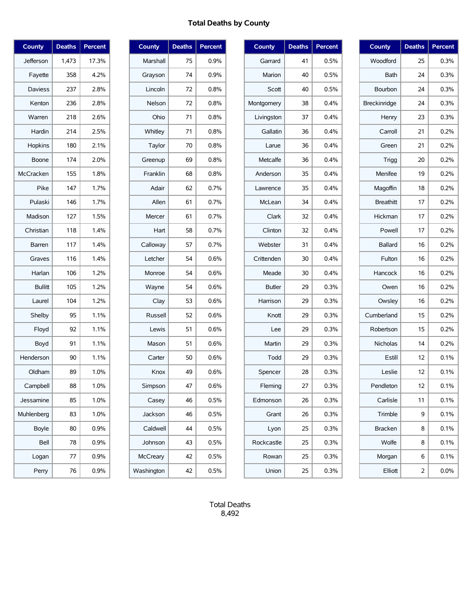# **Total Deaths by County**

| <b>County</b>  | <b>Deaths</b> | <b>Percent</b> |
|----------------|---------------|----------------|
| Jefferson      | 1,473         | 17.3%          |
| Fayette        | 358           | 4.2%           |
| <b>Daviess</b> | 237           | 2.8%           |
| Kenton         | 236           | 2.8%           |
| Warren         | 218           | 2.6%           |
| Hardin         | 214           | 2.5%           |
| Hopkins        | 180           | 2.1%           |
| Boone          | 174           | 2.0%           |
| McCracken      | 155           | 1.8%           |
| Pike           | 147           | 1.7%           |
| Pulaski        | 146           | 1.7%           |
| Madison        | 127           | 1.5%           |
| Christian      | 118           | 1.4%           |
| Barren         | 117           | 1.4%           |
| Graves         | 116           | 1.4%           |
| Harlan         | 106           | 1.2%           |
| <b>Bullitt</b> | 105           | 1.2%           |
| Laurel         | 104           | 1.2%           |
| Shelby         | 95            | 1.1%           |
| Floyd          | 92            | 1.1%           |
| Boyd           | 91            | 1.1%           |
| Henderson      | 90            | 1.1%           |
| Oldham         | 89            | 1.0%           |
| Campbell       | 88            | 1.0%           |
| Jessamine      | 85            | 1.0%           |
| Muhlenberg     | 83            | 1.0%           |
| <b>Boyle</b>   | 80            | 0.9%           |
| Bell           | 78            | 0.9%           |
| Logan          | 77            | 0.9%           |
| Perry          | 76            | 0.9%           |

| <b>County</b> | <b>Deaths</b> | Percent |
|---------------|---------------|---------|
| Marshall      | 75            | $0.9\%$ |
| Grayson       | 74            | 0.9%    |
| Lincoln       | 72            | 0.8%    |
| Nelson        | 72            | 0.8%    |
| Ohio          | 71            | 0.8%    |
| Whitley       | 71            | 0.8%    |
| Taylor        | 70            | 0.8%    |
| Greenup       | 69            | 0.8%    |
| Franklin      | 68            | 0.8%    |
| Adair         | 62            | 0.7%    |
| Allen         | 61            | 0.7%    |
| Mercer        | 61            | 0.7%    |
| Hart          | 58            | 0.7%    |
| Calloway      | 57            | 0.7%    |
| Letcher       | 54            | 0.6%    |
| Monroe        | 54            | 0.6%    |
| Wayne         | 54            | 0.6%    |
| Clay          | 53            | 0.6%    |
| Russell       | 52            | 0.6%    |
| Lewis         | 51            | 0.6%    |
| Mason         | 51            | 0.6%    |
| Carter        | 50            | 0.6%    |
| Knox          | 49            | 0.6%    |
| Simpson       | 47            | 0.6%    |
| Casey         | 46            | 0.5%    |
| Jackson       | 46            | 0.5%    |
| Caldwell      | 44            | 0.5%    |
| Johnson       | 43            | 0.5%    |
| McCreary      | 42            | 0.5%    |
| Washington    | 42            | 0.5%    |

| County        | <b>Deaths</b> | Percent |
|---------------|---------------|---------|
| Garrard       | 41            | 0.5%    |
| Marion        | 40            | 0.5%    |
| Scott         | 40            | 0.5%    |
| Montgomery    | 38            | 0.4%    |
| Livingston    | 37            | 0.4%    |
| Gallatin      | 36            | 0.4%    |
| Larue         | 36            | 0.4%    |
| Metcalfe      | 36            | 0.4%    |
| Anderson      | 35            | 0.4%    |
| Lawrence      | 35            | 0.4%    |
| McLean        | 34            | 0.4%    |
| Clark         | 32            | 0.4%    |
| Clinton       | 32            | 0.4%    |
| Webster       | 31            | 0.4%    |
| Crittenden    | 30            | 0.4%    |
| Meade         | 30            | 0.4%    |
| <b>Butler</b> | 29            | 0.3%    |
| Harrison      | 29            | 0.3%    |
| Knott         | 29            | 0.3%    |
| Lee           | 29            | 0.3%    |
| Martin        | 29            | 0.3%    |
| Todd          | 29            | 0.3%    |
| Spencer       | 28            | 0.3%    |
| Fleming       | 27            | 0.3%    |
| Edmonson      | 26            | 0.3%    |
| Grant         | 26            | 0.3%    |
| Lyon          | 25            | 0.3%    |
| Rockcastle    | 25            | 0.3%    |
| Rowan         | 25            | 0.3%    |
| Union         | 25            | 0.3%    |

| <b>County</b>    | <b>Deaths</b> | <b>Percent</b> |
|------------------|---------------|----------------|
| Woodford         | 25            | 0.3%           |
| Bath             | 24            | 0.3%           |
| Bourbon          | 24            | 0.3%           |
| Breckinridge     | 24            | 0.3%           |
| Henry            | 23            | 0.3%           |
| Carroll          | 21            | 0.2%           |
| Green            | 21            | 0.2%           |
| Trigg            | 20            | 0.2%           |
| Menifee          | 19            | 0.2%           |
| Magoffin         | 18            | 0.2%           |
| <b>Breathitt</b> | 17            | 0.2%           |
| Hickman          | 17            | 0.2%           |
| Powell           | 17            | 0.2%           |
| <b>Ballard</b>   | 16            | 0.2%           |
| Fulton           | 16            | 0.2%           |
| Hancock          | 16            | 0.2%           |
| Owen             | 16            | 0.2%           |
| Owsley           | 16            | 0.2%           |
| Cumberland       | 15            | 0.2%           |
| Robertson        | 15            | 0.2%           |
| Nicholas         | 14            | 0.2%           |
| Estill           | 12            | 0.1%           |
| Leslie           | 12            | 0.1%           |
| Pendleton        | 12            | 0.1%           |
| Carlisle         | 11            | 0.1%           |
| Trimble          | 9             | 0.1%           |
| <b>Bracken</b>   | 8             | 0.1%           |
| Wolfe            | 8             | 0.1%           |
| Morgan           | 6             | 0.1%           |
| Elliott          | 2             | 0.0%           |